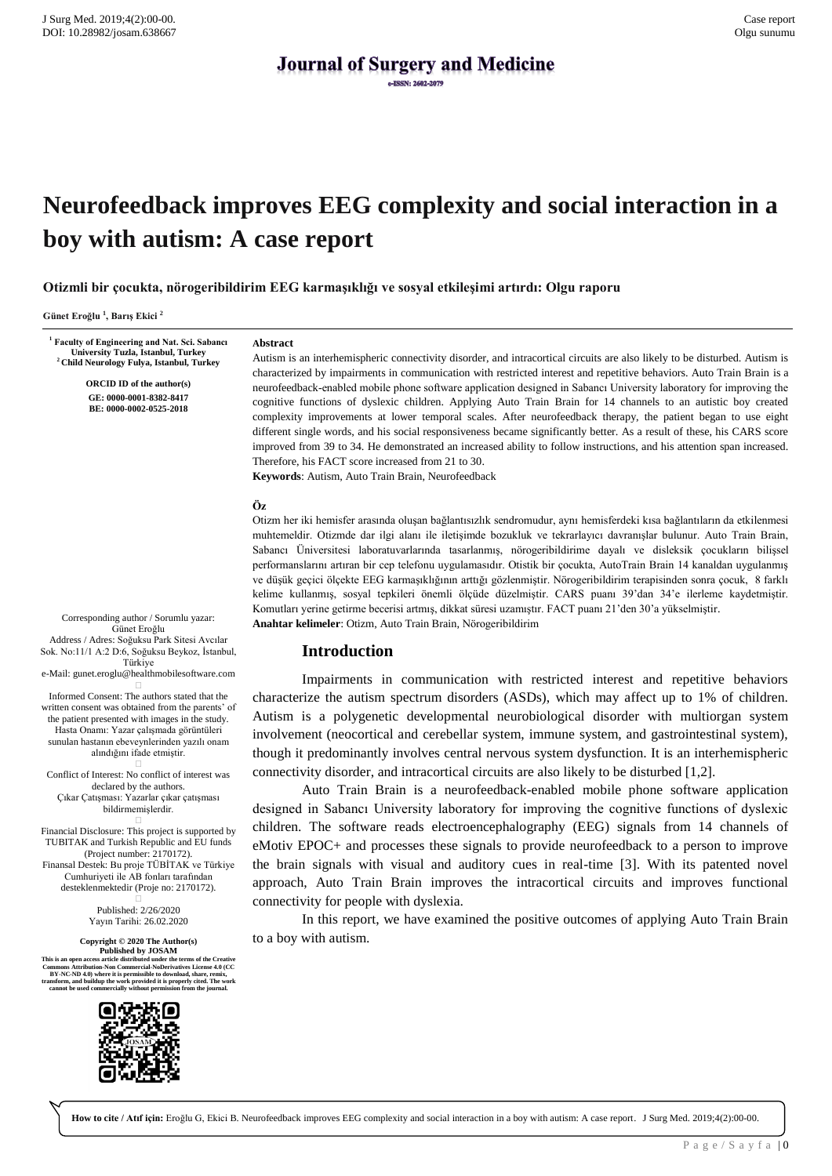# **Journal of Surgery and Medicine**

## **Neurofeedback improves EEG complexity and social interaction in a boy with autism: A case report**

**Otizmli bir çocukta, nörogeribildirim EEG karmaşıklığı ve sosyal etkileşimi artırdı: Olgu raporu**

**Günet Eroğlu <sup>1</sup> , Barış Ekici <sup>2</sup>**

**1 Faculty of Engineering and Nat. Sci. Sabancı University Tuzla, Istanbul, Turkey <sup>2</sup>Child Neurology Fulya, Istanbul, Turkey**

> **ORCID ID of the author(s) GE: 0000-0001-8382-8417 BE: 0000-0002-0525-2018**

#### **Abstract**

Autism is an interhemispheric connectivity disorder, and intracortical circuits are also likely to be disturbed. Autism is characterized by impairments in communication with restricted interest and repetitive behaviors. Auto Train Brain is a neurofeedback-enabled mobile phone software application designed in Sabancı University laboratory for improving the cognitive functions of dyslexic children. Applying Auto Train Brain for 14 channels to an autistic boy created complexity improvements at lower temporal scales. After neurofeedback therapy, the patient began to use eight different single words, and his social responsiveness became significantly better. As a result of these, his CARS score improved from 39 to 34. He demonstrated an increased ability to follow instructions, and his attention span increased. Therefore, his FACT score increased from 21 to 30.

**Keywords**: Autism, Auto Train Brain, Neurofeedback

#### **Öz**

Otizm her iki hemisfer arasında oluşan bağlantısızlık sendromudur, aynı hemisferdeki kısa bağlantıların da etkilenmesi muhtemeldir. Otizmde dar ilgi alanı ile iletişimde bozukluk ve tekrarlayıcı davranışlar bulunur. Auto Train Brain, Sabancı Üniversitesi laboratuvarlarında tasarlanmış, nörogeribildirime dayalı ve disleksik çocukların bilişsel performanslarını artıran bir cep telefonu uygulamasıdır. Otistik bir çocukta, AutoTrain Brain 14 kanaldan uygulanmış ve düşük geçici ölçekte EEG karmaşıklığının arttığı gözlenmiştir. Nörogeribildirim terapisinden sonra çocuk, 8 farklı kelime kullanmış, sosyal tepkileri önemli ölçüde düzelmiştir. CARS puanı 39'dan 34'e ilerleme kaydetmiştir. Komutları yerine getirme becerisi artmış, dikkat süresi uzamıştır. FACT puanı 21'den 30'a yükselmiştir. **Anahtar kelimeler**: Otizm, Auto Train Brain, Nörogeribildirim

#### **Introduction**

Impairments in communication with restricted interest and repetitive behaviors characterize the autism spectrum disorders (ASDs), which may affect up to 1% of children. Autism is a polygenetic developmental neurobiological disorder with multiorgan system involvement (neocortical and cerebellar system, immune system, and gastrointestinal system), though it predominantly involves central nervous system dysfunction. It is an interhemispheric connectivity disorder, and intracortical circuits are also likely to be disturbed [1,2].

Auto Train Brain is a neurofeedback-enabled mobile phone software application designed in Sabancı University laboratory for improving the cognitive functions of dyslexic children. The software reads electroencephalography (EEG) signals from 14 channels of eMotiv EPOC+ and processes these signals to provide neurofeedback to a person to improve the brain signals with visual and auditory cues in real-time [3]. With its patented novel approach, Auto Train Brain improves the intracortical circuits and improves functional connectivity for people with dyslexia.

In this report, we have examined the positive outcomes of applying Auto Train Brain to a boy with autism.

Corresponding author / Sorumlu yazar: Günet Eroğlu Address / Adres: Soğuksu Park Sitesi Avcılar Sok. No:11/1 A:2 D:6, Soğuksu Beykoz, İstanbul, Türkiye

e-Mail: gunet.eroglu@healthmobilesoftware.com  $\Box$ 

Informed Consent: The authors stated that the written consent was obtained from the parents' of the patient presented with images in the study. Hasta Onamı: Yazar çalışmada görüntüleri sunulan hastanın ebeveynlerinden yazılı onam alındığını ifade etmiştir.  $\Box$ 

Conflict of Interest: No conflict of interest was declared by the authors. Çıkar Çatışması: Yazarlar çıkar çatışması bildirmemişlerdir.  $\Box$ 

Financial Disclosure: This project is supported by TUBITAK and Turkish Republic and EU funds (Project number: 2170172). Finansal Destek: Bu proje TÜBİTAK ve Türkiye Cumhuriyeti ile AB fonları tarafından desteklenmektedir (Proje no: 2170172).

> Published: 2/26/2020 Yayın Tarihi: 26.02.2020

**Copyright © 2020 The Author(s) Published by JOSAM**<br>This is an open access article distributed under the terms of the Creative<br>Commons Attribution-Non Commercial-NoDerivatives License 4.0 (CC<br>BY-NC-ND 4.0) where it is permissible to download, share, rem transform, and buildup the work provided it is properly cited. The work<br>cannot be used commercially without permission from the journal.



**How to cite / Atıf için:** Eroğlu G, Ekici B. Neurofeedback improves EEG complexity and social interaction in a boy with autism: A case report. J Surg Med. 2019;4(2):00-00.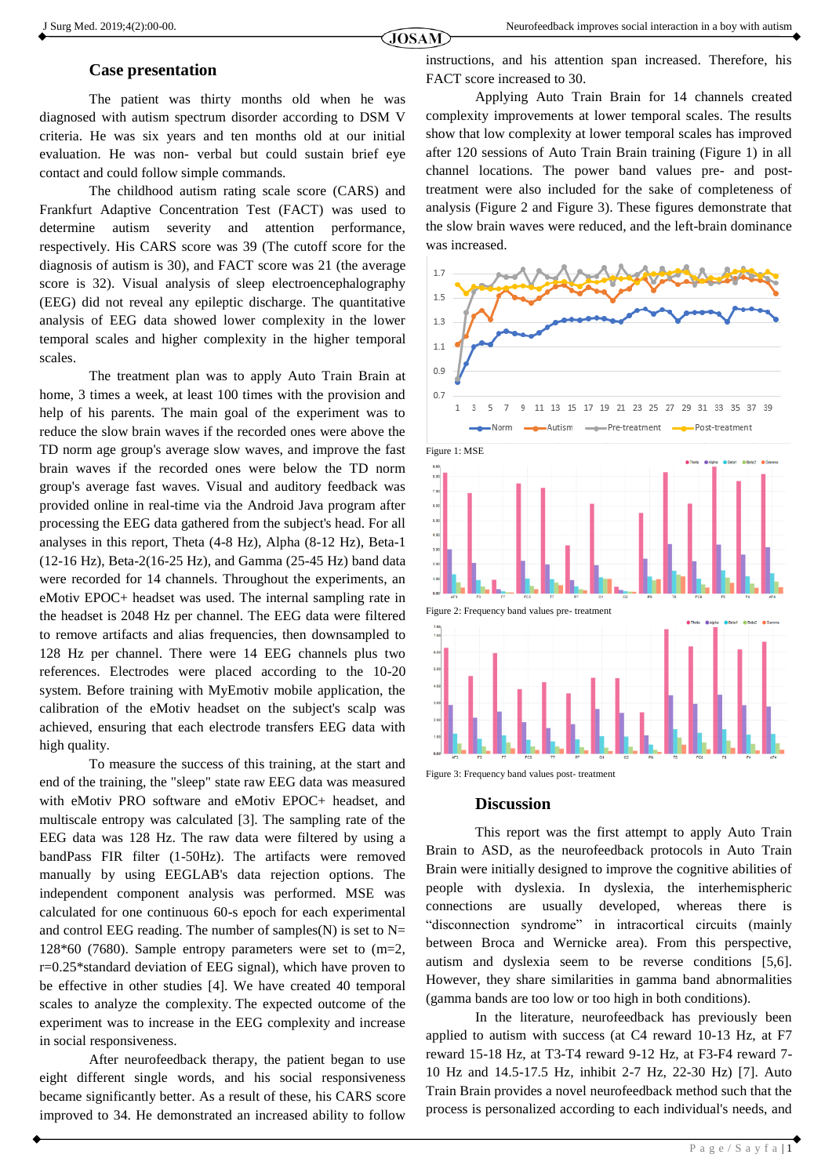### **Case presentation**

The patient was thirty months old when he was diagnosed with autism spectrum disorder according to DSM V criteria. He was six years and ten months old at our initial evaluation. He was non- verbal but could sustain brief eye contact and could follow simple commands.

The childhood autism rating scale score (CARS) and Frankfurt Adaptive Concentration Test (FACT) was used to determine autism severity and attention performance, respectively. His CARS score was 39 (The cutoff score for the diagnosis of autism is 30), and FACT score was 21 (the average score is 32). Visual analysis of sleep electroencephalography (EEG) did not reveal any epileptic discharge. The quantitative analysis of EEG data showed lower complexity in the lower temporal scales and higher complexity in the higher temporal scales.

The treatment plan was to apply Auto Train Brain at home, 3 times a week, at least 100 times with the provision and help of his parents. The main goal of the experiment was to reduce the slow brain waves if the recorded ones were above the TD norm age group's average slow waves, and improve the fast brain waves if the recorded ones were below the TD norm group's average fast waves. Visual and auditory feedback was provided online in real-time via the Android Java program after processing the EEG data gathered from the subject's head. For all analyses in this report, Theta (4-8 Hz), Alpha (8-12 Hz), Beta-1 (12-16 Hz), Beta-2(16-25 Hz), and Gamma (25-45 Hz) band data were recorded for 14 channels. Throughout the experiments, an eMotiv EPOC+ headset was used. The internal sampling rate in the headset is 2048 Hz per channel. The EEG data were filtered to remove artifacts and alias frequencies, then downsampled to 128 Hz per channel. There were 14 EEG channels plus two references. Electrodes were placed according to the 10-20 system. Before training with MyEmotiv mobile application, the calibration of the eMotiv headset on the subject's scalp was achieved, ensuring that each electrode transfers EEG data with high quality.

To measure the success of this training, at the start and end of the training, the "sleep" state raw EEG data was measured with eMotiv PRO software and eMotiv EPOC+ headset, and multiscale entropy was calculated [3]. The sampling rate of the EEG data was 128 Hz. The raw data were filtered by using a bandPass FIR filter (1-50Hz). The artifacts were removed manually by using EEGLAB's data rejection options. The independent component analysis was performed. MSE was calculated for one continuous 60-s epoch for each experimental and control EEG reading. The number of samples $(N)$  is set to N= 128 $*60$  (7680). Sample entropy parameters were set to  $(m=2,$ r=0.25\*standard deviation of EEG signal), which have proven to be effective in other studies [4]. We have created 40 temporal scales to analyze the complexity. The expected outcome of the experiment was to increase in the EEG complexity and increase in social responsiveness.

After neurofeedback therapy, the patient began to use eight different single words, and his social responsiveness became significantly better. As a result of these, his CARS score improved to 34. He demonstrated an increased ability to follow instructions, and his attention span increased. Therefore, his FACT score increased to 30.

Applying Auto Train Brain for 14 channels created complexity improvements at lower temporal scales. The results show that low complexity at lower temporal scales has improved after 120 sessions of Auto Train Brain training (Figure 1) in all channel locations. The power band values pre- and posttreatment were also included for the sake of completeness of analysis (Figure 2 and Figure 3). These figures demonstrate that the slow brain waves were reduced, and the left-brain dominance was increased.



Figure 3: Frequency band values post- treatment

#### **Discussion**

This report was the first attempt to apply Auto Train Brain to ASD, as the neurofeedback protocols in Auto Train Brain were initially designed to improve the cognitive abilities of people with dyslexia. In dyslexia, the interhemispheric connections are usually developed, whereas there is "disconnection syndrome" in intracortical circuits (mainly between Broca and Wernicke area). From this perspective, autism and dyslexia seem to be reverse conditions [5,6]. However, they share similarities in gamma band abnormalities (gamma bands are too low or too high in both conditions).

In the literature, neurofeedback has previously been applied to autism with success (at C4 reward 10-13 Hz, at F7 reward 15-18 Hz, at T3-T4 reward 9-12 Hz, at F3-F4 reward 7- 10 Hz and 14.5-17.5 Hz, inhibit 2-7 Hz, 22-30 Hz) [7]. Auto Train Brain provides a novel neurofeedback method such that the process is personalized according to each individual's needs, and